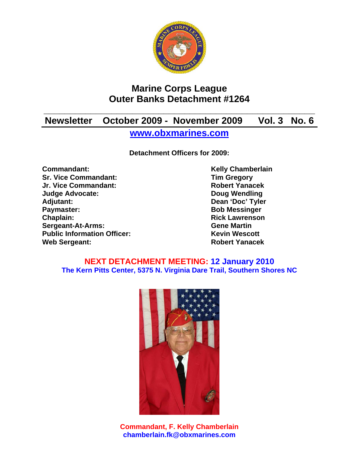

# **Marine Corps League Outer Banks Detachment #1264**

# **\_\_\_\_\_\_\_\_\_\_\_\_\_\_\_\_\_\_\_\_\_\_\_\_\_\_\_\_\_\_\_\_\_\_\_\_\_\_\_\_\_\_\_\_\_\_\_\_\_\_\_\_ Newsletter October 2009 - November 2009 Vol. 3 No. 6**

**www.obxmarines.com**

**Detachment Officers for 2009:** 

**Commandant:** Commandant: Kelly Chamberlain **Sr. Vice Commandant:** Tim Gregory<br>
Jr. Vice Commandant: The School of The Robert Yanacek **Jr. Vice Commandant: Judge Advocate: Doug Wendling Adjutant: Dean 'Doc' Tyler Paymaster:** Bob Messinger **Chaplain: Chaplain: Rick Lawrenson Sergeant-At-Arms: Gene Martin Public Information Officer:** Kevin Wescott **Web Sergeant: Robert Yanacek** 

### **NEXT DETACHMENT MEETING: 12 January 2010 The Kern Pitts Center, 5375 N. Virginia Dare Trail, Southern Shores NC**



**Commandant, F. Kelly Chamberlain chamberlain.fk@obxmarines.com**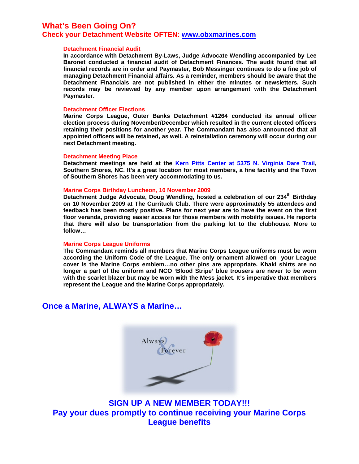### **What's Been Going On?**

#### **Check your Detachment Website OFTEN: www.obxmarines.com**

#### **Detachment Financial Audit**

**In accordance with Detachment By-Laws, Judge Advocate Wendling accompanied by Lee Baronet conducted a financial audit of Detachment Finances. The audit found that all financial records are in order and Paymaster, Bob Messinger continues to do a fine job of managing Detachment Financial affairs. As a reminder, members should be aware that the Detachment Financials are not published in either the minutes or newsletters. Such records may be reviewed by any member upon arrangement with the Detachment Paymaster.** 

#### **Detachment Officer Elections**

**Marine Corps League, Outer Banks Detachment #1264 conducted its annual officer election process during November/December which resulted in the current elected officers retaining their positions for another year. The Commandant has also announced that all appointed officers will be retained, as well. A reinstallation ceremony will occur during our next Detachment meeting.** 

#### **Detachment Meeting Place**

**Detachment meetings are held at the Kern Pitts Center at 5375 N. Virginia Dare Trail, Southern Shores, NC. It's a great location for most members, a fine facility and the Town of Southern Shores has been very accommodating to us.** 

#### **Marine Corps Birthday Luncheon, 10 November 2009**

**Detachment Judge Advocate, Doug Wendling, hosted a celebration of our 234th Birthday on 10 November 2009 at The Currituck Club. There were approximately 55 attendees and feedback has been mostly positive. Plans for next year are to have the event on the first floor veranda, providing easier access for those members with mobility issues. He reports that there will also be transportation from the parking lot to the clubhouse. More to follow…** 

#### **Marine Corps League Uniforms**

**The Commandant reminds all members that Marine Corps League uniforms must be worn according the Uniform Code of the League. The only ornament allowed on your League cover is the Marine Corps emblem…no other pins are appropriate. Khaki shirts are no longer a part of the uniform and NCO 'Blood Stripe' blue trousers are never to be worn with the scarlet blazer but may be worn with the Mess jacket. It's imperative that members represent the League and the Marine Corps appropriately.** 

### **Once a Marine, ALWAYS a Marine…**



**SIGN UP A NEW MEMBER TODAY!!! Pay your dues promptly to continue receiving your Marine Corps League benefits**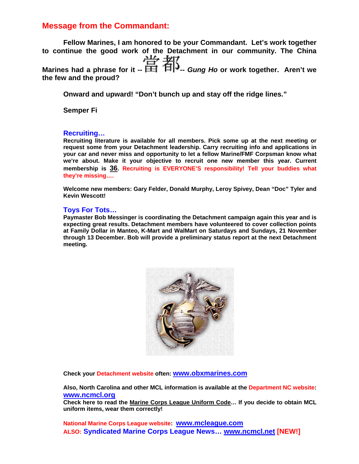### **Message from the Commandant:**

**Fellow Marines, I am honored to be your Commandant. Let's work together to continue the good work of the Detachment in our community. The China**  Marines had a phrase for it --  $\frac{11}{11}$   $\frac{11}{11}$  *Gung Ho* or work together. Aren't we **the few and the proud?** 

**Onward and upward! "Don't bunch up and stay off the ridge lines."** 

**Semper Fi** 

#### **Recruiting…**

**Recruiting literature is available for all members. Pick some up at the next meeting or request some from your Detachment leadership. Carry recruiting info and applications in your car and never miss and opportunity to let a fellow Marine/FMF Corpsman know what we're about. Make it your objective to recruit one new member this year. Current membership is 36. Recruiting is EVERYONE'S responsibility! Tell your buddies what they're missing….** 

**Welcome new members: Gary Felder, Donald Murphy, Leroy Spivey, Dean "Doc" Tyler and Kevin Wescott!** 

#### **Toys For Tots…**

**Paymaster Bob Messinger is coordinating the Detachment campaign again this year and is expecting great results. Detachment members have volunteered to cover collection points at Family Dollar in Manteo, K-Mart and WalMart on Saturdays and Sundays, 21 November through 13 December. Bob will provide a preliminary status report at the next Detachment meeting.** 



**Check your Detachment website often: www.obxmarines.com**

**Also, North Carolina and other MCL information is available at the Department NC website: www.ncmcl.org**

**Check here to read the Marine Corps League Uniform Code… If you decide to obtain MCL uniform items, wear them correctly!** 

**National Marine Corps League website: www.mcleague.com ALSO: Syndicated Marine Corps League News… www.ncmcl.net [NEW!]**